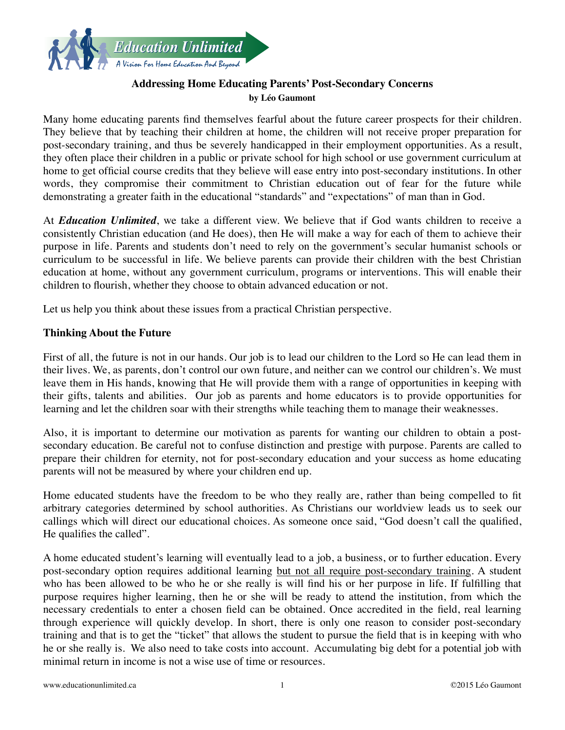

# **Addressing Home Educating Parents' Post-Secondary Concerns by Léo Gaumont**

Many home educating parents find themselves fearful about the future career prospects for their children. They believe that by teaching their children at home, the children will not receive proper preparation for post-secondary training, and thus be severely handicapped in their employment opportunities. As a result, they often place their children in a public or private school for high school or use government curriculum at home to get official course credits that they believe will ease entry into post-secondary institutions. In other words, they compromise their commitment to Christian education out of fear for the future while demonstrating a greater faith in the educational "standards" and "expectations" of man than in God.

At *Education Unlimited*, we take a different view. We believe that if God wants children to receive a consistently Christian education (and He does), then He will make a way for each of them to achieve their purpose in life. Parents and students don't need to rely on the government's secular humanist schools or curriculum to be successful in life. We believe parents can provide their children with the best Christian education at home, without any government curriculum, programs or interventions. This will enable their children to flourish, whether they choose to obtain advanced education or not.

Let us help you think about these issues from a practical Christian perspective.

# **Thinking About the Future**

First of all, the future is not in our hands. Our job is to lead our children to the Lord so He can lead them in their lives. We, as parents, don't control our own future, and neither can we control our children's. We must leave them in His hands, knowing that He will provide them with a range of opportunities in keeping with their gifts, talents and abilities. Our job as parents and home educators is to provide opportunities for learning and let the children soar with their strengths while teaching them to manage their weaknesses.

Also, it is important to determine our motivation as parents for wanting our children to obtain a postsecondary education. Be careful not to confuse distinction and prestige with purpose. Parents are called to prepare their children for eternity, not for post-secondary education and your success as home educating parents will not be measured by where your children end up.

Home educated students have the freedom to be who they really are, rather than being compelled to fit arbitrary categories determined by school authorities. As Christians our worldview leads us to seek our callings which will direct our educational choices. As someone once said, "God doesn't call the qualified, He qualifies the called".

A home educated student's learning will eventually lead to a job, a business, or to further education. Every post-secondary option requires additional learning but not all require post-secondary training. A student who has been allowed to be who he or she really is will find his or her purpose in life. If fulfilling that purpose requires higher learning, then he or she will be ready to attend the institution, from which the necessary credentials to enter a chosen field can be obtained. Once accredited in the field, real learning through experience will quickly develop. In short, there is only one reason to consider post-secondary training and that is to get the "ticket" that allows the student to pursue the field that is in keeping with who he or she really is. We also need to take costs into account. Accumulating big debt for a potential job with minimal return in income is not a wise use of time or resources.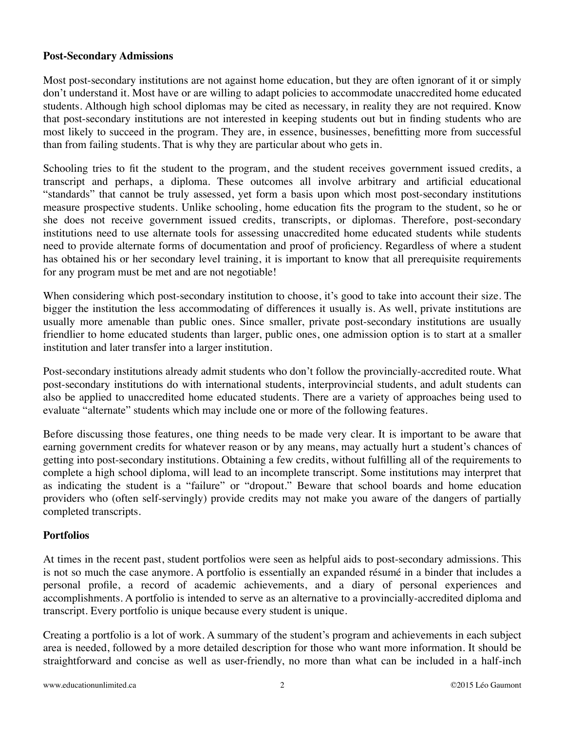### **Post-Secondary Admissions**

Most post-secondary institutions are not against home education, but they are often ignorant of it or simply don't understand it. Most have or are willing to adapt policies to accommodate unaccredited home educated students. Although high school diplomas may be cited as necessary, in reality they are not required. Know that post-secondary institutions are not interested in keeping students out but in finding students who are most likely to succeed in the program. They are, in essence, businesses, benefitting more from successful than from failing students. That is why they are particular about who gets in.

Schooling tries to fit the student to the program, and the student receives government issued credits, a transcript and perhaps, a diploma. These outcomes all involve arbitrary and artificial educational "standards" that cannot be truly assessed, yet form a basis upon which most post-secondary institutions measure prospective students. Unlike schooling, home education fits the program to the student, so he or she does not receive government issued credits, transcripts, or diplomas. Therefore, post-secondary institutions need to use alternate tools for assessing unaccredited home educated students while students need to provide alternate forms of documentation and proof of proficiency. Regardless of where a student has obtained his or her secondary level training, it is important to know that all prerequisite requirements for any program must be met and are not negotiable!

When considering which post-secondary institution to choose, it's good to take into account their size. The bigger the institution the less accommodating of differences it usually is. As well, private institutions are usually more amenable than public ones. Since smaller, private post-secondary institutions are usually friendlier to home educated students than larger, public ones, one admission option is to start at a smaller institution and later transfer into a larger institution.

Post-secondary institutions already admit students who don't follow the provincially-accredited route. What post-secondary institutions do with international students, interprovincial students, and adult students can also be applied to unaccredited home educated students. There are a variety of approaches being used to evaluate "alternate" students which may include one or more of the following features.

Before discussing those features, one thing needs to be made very clear. It is important to be aware that earning government credits for whatever reason or by any means, may actually hurt a student's chances of getting into post-secondary institutions. Obtaining a few credits, without fulfilling all of the requirements to complete a high school diploma, will lead to an incomplete transcript. Some institutions may interpret that as indicating the student is a "failure" or "dropout." Beware that school boards and home education providers who (often self-servingly) provide credits may not make you aware of the dangers of partially completed transcripts.

### **Portfolios**

At times in the recent past, student portfolios were seen as helpful aids to post-secondary admissions. This is not so much the case anymore. A portfolio is essentially an expanded résumé in a binder that includes a personal profile, a record of academic achievements, and a diary of personal experiences and accomplishments. A portfolio is intended to serve as an alternative to a provincially-accredited diploma and transcript. Every portfolio is unique because every student is unique.

Creating a portfolio is a lot of work. A summary of the student's program and achievements in each subject area is needed, followed by a more detailed description for those who want more information. It should be straightforward and concise as well as user-friendly, no more than what can be included in a half-inch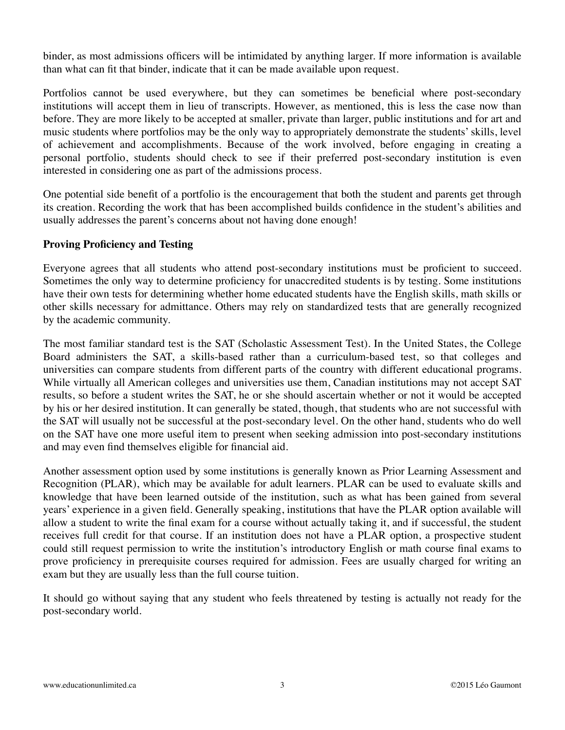binder, as most admissions officers will be intimidated by anything larger. If more information is available than what can fit that binder, indicate that it can be made available upon request.

Portfolios cannot be used everywhere, but they can sometimes be beneficial where post-secondary institutions will accept them in lieu of transcripts. However, as mentioned, this is less the case now than before. They are more likely to be accepted at smaller, private than larger, public institutions and for art and music students where portfolios may be the only way to appropriately demonstrate the students' skills, level of achievement and accomplishments. Because of the work involved, before engaging in creating a personal portfolio, students should check to see if their preferred post-secondary institution is even interested in considering one as part of the admissions process.

One potential side benefit of a portfolio is the encouragement that both the student and parents get through its creation. Recording the work that has been accomplished builds confidence in the student's abilities and usually addresses the parent's concerns about not having done enough!

# **Proving Proficiency and Testing**

Everyone agrees that all students who attend post-secondary institutions must be proficient to succeed. Sometimes the only way to determine proficiency for unaccredited students is by testing. Some institutions have their own tests for determining whether home educated students have the English skills, math skills or other skills necessary for admittance. Others may rely on standardized tests that are generally recognized by the academic community.

The most familiar standard test is the SAT (Scholastic Assessment Test). In the United States, the College Board administers the SAT, a skills-based rather than a curriculum-based test, so that colleges and universities can compare students from different parts of the country with different educational programs. While virtually all American colleges and universities use them, Canadian institutions may not accept SAT results, so before a student writes the SAT, he or she should ascertain whether or not it would be accepted by his or her desired institution. It can generally be stated, though, that students who are not successful with the SAT will usually not be successful at the post-secondary level. On the other hand, students who do well on the SAT have one more useful item to present when seeking admission into post-secondary institutions and may even find themselves eligible for financial aid.

Another assessment option used by some institutions is generally known as Prior Learning Assessment and Recognition (PLAR), which may be available for adult learners. PLAR can be used to evaluate skills and knowledge that have been learned outside of the institution, such as what has been gained from several years' experience in a given field. Generally speaking, institutions that have the PLAR option available will allow a student to write the final exam for a course without actually taking it, and if successful, the student receives full credit for that course. If an institution does not have a PLAR option, a prospective student could still request permission to write the institution's introductory English or math course final exams to prove proficiency in prerequisite courses required for admission. Fees are usually charged for writing an exam but they are usually less than the full course tuition.

It should go without saying that any student who feels threatened by testing is actually not ready for the post-secondary world.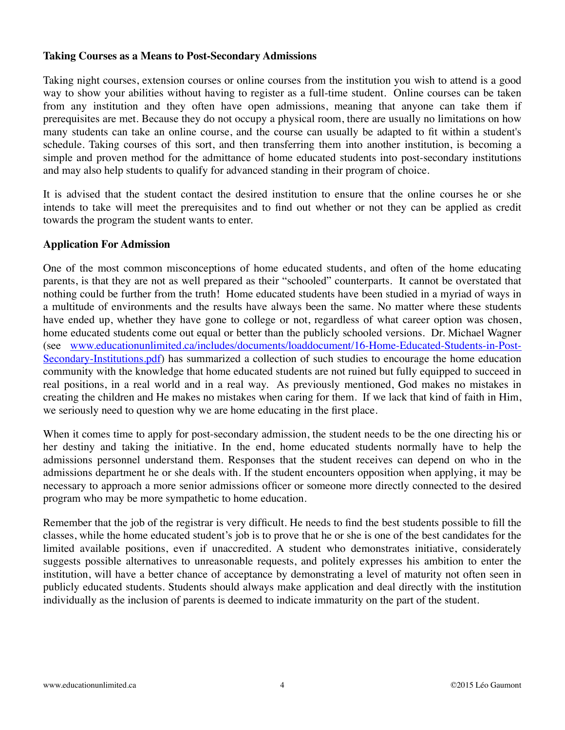#### **Taking Courses as a Means to Post-Secondary Admissions**

Taking night courses, extension courses or online courses from the institution you wish to attend is a good way to show your abilities without having to register as a full-time student. Online courses can be taken from any institution and they often have open admissions, meaning that anyone can take them if prerequisites are met. Because they do not occupy a physical room, there are usually no limitations on how many students can take an online course, and the course can usually be adapted to fit within a student's schedule. Taking courses of this sort, and then transferring them into another institution, is becoming a simple and proven method for the admittance of home educated students into post-secondary institutions and may also help students to qualify for advanced standing in their program of choice.

It is advised that the student contact the desired institution to ensure that the online courses he or she intends to take will meet the prerequisites and to find out whether or not they can be applied as credit towards the program the student wants to enter.

#### **Application For Admission**

One of the most common misconceptions of home educated students, and often of the home educating parents, is that they are not as well prepared as their "schooled" counterparts. It cannot be overstated that nothing could be further from the truth! Home educated students have been studied in a myriad of ways in a multitude of environments and the results have always been the same. No matter where these students have ended up, whether they have gone to college or not, regardless of what career option was chosen, home educated students come out equal or better than the publicly schooled versions. Dr. Michael Wagner [\(see www.educationunlimited.ca/includes/documents/loaddocument/16-Home-Educated-Students-in-Post-](http://www.educationunlimited.ca/includes/documents/loaddocument/16-Home-Educated-Students-in-Post-Secondary-Institutions.pdf)Secondary-Institutions.pdf) has summarized a collection of such studies to encourage the home education community with the knowledge that home educated students are not ruined but fully equipped to succeed in real positions, in a real world and in a real way. As previously mentioned, God makes no mistakes in creating the children and He makes no mistakes when caring for them. If we lack that kind of faith in Him, we seriously need to question why we are home educating in the first place.

When it comes time to apply for post-secondary admission, the student needs to be the one directing his or her destiny and taking the initiative. In the end, home educated students normally have to help the admissions personnel understand them. Responses that the student receives can depend on who in the admissions department he or she deals with. If the student encounters opposition when applying, it may be necessary to approach a more senior admissions officer or someone more directly connected to the desired program who may be more sympathetic to home education.

Remember that the job of the registrar is very difficult. He needs to find the best students possible to fill the classes, while the home educated student's job is to prove that he or she is one of the best candidates for the limited available positions, even if unaccredited. A student who demonstrates initiative, considerately suggests possible alternatives to unreasonable requests, and politely expresses his ambition to enter the institution, will have a better chance of acceptance by demonstrating a level of maturity not often seen in publicly educated students. Students should always make application and deal directly with the institution individually as the inclusion of parents is deemed to indicate immaturity on the part of the student.